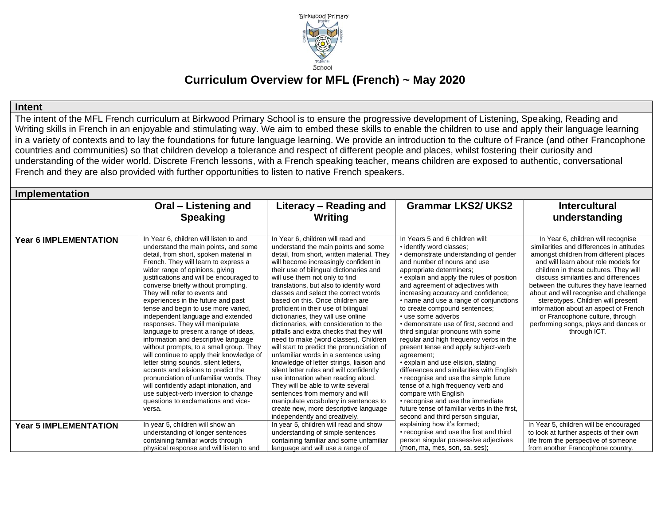

# **Curriculum Overview for MFL (French) ~ May 2020**

**Intent** 

The intent of the MFL French curriculum at Birkwood Primary School is to ensure the progressive development of Listening, Speaking, Reading and Writing skills in French in an enjoyable and stimulating way. We aim to embed these skills to enable the children to use and apply their language learning in a variety of contexts and to lay the foundations for future language learning. We provide an introduction to the culture of France (and other Francophone countries and communities) so that children develop a tolerance and respect of different people and places, whilst fostering their curiosity and understanding of the wider world. Discrete French lessons, with a French speaking teacher, means children are exposed to authentic, conversational French and they are also provided with further opportunities to listen to native French speakers.

| <b>Implementation</b>        |                                                                                                                                                                                                                                                                                                                                                                                                                                                                                                                                                                                                                                                                                                                                                                                                                                                                                                                     |                                                                                                                                                                                                                                                                                                                                                                                                                                                                                                                                                                                                                                                                                                                                                                                                                                                                                                                                                                                                  |                                                                                                                                                                                                                                                                                                                                                                                                                                                                                                                                                                                                                                                                                                                                                                                                                                                                                              |                                                                                                                                                                                                                                                                                                                                                                                                                                                                                                                   |  |  |
|------------------------------|---------------------------------------------------------------------------------------------------------------------------------------------------------------------------------------------------------------------------------------------------------------------------------------------------------------------------------------------------------------------------------------------------------------------------------------------------------------------------------------------------------------------------------------------------------------------------------------------------------------------------------------------------------------------------------------------------------------------------------------------------------------------------------------------------------------------------------------------------------------------------------------------------------------------|--------------------------------------------------------------------------------------------------------------------------------------------------------------------------------------------------------------------------------------------------------------------------------------------------------------------------------------------------------------------------------------------------------------------------------------------------------------------------------------------------------------------------------------------------------------------------------------------------------------------------------------------------------------------------------------------------------------------------------------------------------------------------------------------------------------------------------------------------------------------------------------------------------------------------------------------------------------------------------------------------|----------------------------------------------------------------------------------------------------------------------------------------------------------------------------------------------------------------------------------------------------------------------------------------------------------------------------------------------------------------------------------------------------------------------------------------------------------------------------------------------------------------------------------------------------------------------------------------------------------------------------------------------------------------------------------------------------------------------------------------------------------------------------------------------------------------------------------------------------------------------------------------------|-------------------------------------------------------------------------------------------------------------------------------------------------------------------------------------------------------------------------------------------------------------------------------------------------------------------------------------------------------------------------------------------------------------------------------------------------------------------------------------------------------------------|--|--|
|                              | Oral – Listening and<br><b>Speaking</b>                                                                                                                                                                                                                                                                                                                                                                                                                                                                                                                                                                                                                                                                                                                                                                                                                                                                             | Literacy – Reading and<br>Writing                                                                                                                                                                                                                                                                                                                                                                                                                                                                                                                                                                                                                                                                                                                                                                                                                                                                                                                                                                | <b>Grammar LKS2/ UKS2</b>                                                                                                                                                                                                                                                                                                                                                                                                                                                                                                                                                                                                                                                                                                                                                                                                                                                                    | <b>Intercultural</b><br>understanding                                                                                                                                                                                                                                                                                                                                                                                                                                                                             |  |  |
| <b>Year 6 IMPLEMENTATION</b> | In Year 6, children will listen to and<br>understand the main points, and some<br>detail, from short, spoken material in<br>French. They will learn to express a<br>wider range of opinions, giving<br>justifications and will be encouraged to<br>converse briefly without prompting.<br>They will refer to events and<br>experiences in the future and past<br>tense and begin to use more varied.<br>independent language and extended<br>responses. They will manipulate<br>language to present a range of ideas,<br>information and descriptive language<br>without prompts, to a small group. They<br>will continue to apply their knowledge of<br>letter string sounds, silent letters,<br>accents and elisions to predict the<br>pronunciation of unfamiliar words. They<br>will confidently adapt intonation, and<br>use subject-verb inversion to change<br>questions to exclamations and vice-<br>versa. | In Year 6, children will read and<br>understand the main points and some<br>detail, from short, written material. They<br>will become increasingly confident in<br>their use of bilingual dictionaries and<br>will use them not only to find<br>translations, but also to identify word<br>classes and select the correct words<br>based on this. Once children are<br>proficient in their use of bilingual<br>dictionaries, they will use online<br>dictionaries, with consideration to the<br>pitfalls and extra checks that they will<br>need to make (word classes). Children<br>will start to predict the pronunciation of<br>unfamiliar words in a sentence using<br>knowledge of letter strings, liaison and<br>silent letter rules and will confidently<br>use intonation when reading aloud.<br>They will be able to write several<br>sentences from memory and will<br>manipulate vocabulary in sentences to<br>create new, more descriptive language<br>independently and creatively. | In Years 5 and 6 children will:<br>· identify word classes;<br>• demonstrate understanding of gender<br>and number of nouns and use<br>appropriate determiners:<br>• explain and apply the rules of position<br>and agreement of adjectives with<br>increasing accuracy and confidence;<br>• name and use a range of conjunctions<br>to create compound sentences;<br>• use some adverbs<br>• demonstrate use of first, second and<br>third singular pronouns with some<br>regular and high frequency verbs in the<br>present tense and apply subject-verb<br>agreement;<br>• explain and use elision, stating<br>differences and similarities with English<br>• recognise and use the simple future<br>tense of a high frequency verb and<br>compare with English<br>• recognise and use the immediate<br>future tense of familiar verbs in the first.<br>second and third person singular, | In Year 6, children will recognise<br>similarities and differences in attitudes<br>amongst children from different places<br>and will learn about role models for<br>children in these cultures. They will<br>discuss similarities and differences<br>between the cultures they have learned<br>about and will recognise and challenge<br>stereotypes. Children will present<br>information about an aspect of French<br>or Francophone culture, through<br>performing songs, plays and dances or<br>through ICT. |  |  |
| <b>Year 5 IMPLEMENTATION</b> | In year 5, children will show an<br>understanding of longer sentences<br>containing familiar words through<br>physical response and will listen to and                                                                                                                                                                                                                                                                                                                                                                                                                                                                                                                                                                                                                                                                                                                                                              | In year 5, children will read and show<br>understanding of simple sentences<br>containing familiar and some unfamiliar<br>language and will use a range of                                                                                                                                                                                                                                                                                                                                                                                                                                                                                                                                                                                                                                                                                                                                                                                                                                       | explaining how it's formed;<br>• recognise and use the first and third<br>person singular possessive adjectives<br>(mon, ma, mes, son, sa, ses);                                                                                                                                                                                                                                                                                                                                                                                                                                                                                                                                                                                                                                                                                                                                             | In Year 5, children will be encouraged<br>to look at further aspects of their own<br>life from the perspective of someone<br>from another Francophone country.                                                                                                                                                                                                                                                                                                                                                    |  |  |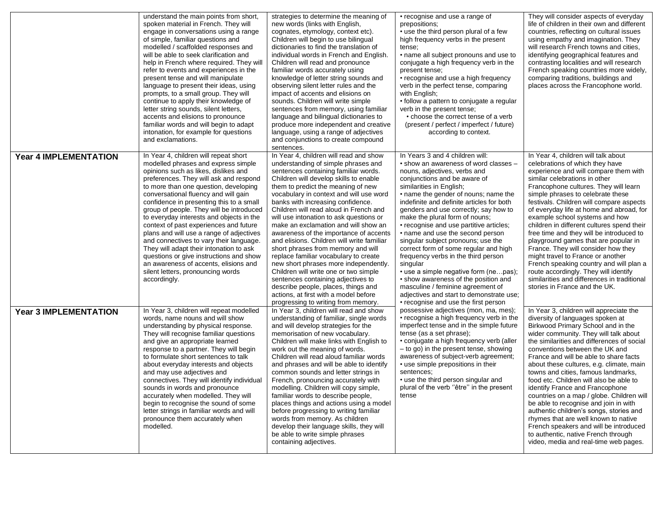|                              | understand the main points from short,<br>spoken material in French. They will<br>engage in conversations using a range<br>of simple, familiar questions and<br>modelled / scaffolded responses and<br>will be able to seek clarification and<br>help in French where required. They will<br>refer to events and experiences in the<br>present tense and will manipulate<br>language to present their ideas, using<br>prompts, to a small group. They will<br>continue to apply their knowledge of<br>letter string sounds, silent letters,<br>accents and elisions to pronounce<br>familiar words and will begin to adapt<br>intonation, for example for questions<br>and exclamations.                 | strategies to determine the meaning of<br>new words (links with English,<br>cognates, etymology, context etc).<br>Children will begin to use bilingual<br>dictionaries to find the translation of<br>individual words in French and English.<br>Children will read and pronounce<br>familiar words accurately using<br>knowledge of letter string sounds and<br>observing silent letter rules and the<br>impact of accents and elisions on<br>sounds. Children will write simple<br>sentences from memory, using familiar<br>language and bilingual dictionaries to<br>produce more independent and creative<br>language, using a range of adjectives<br>and conjunctions to create compound<br>sentences.                                                                                                                               | • recognise and use a range of<br>prepositions;<br>• use the third person plural of a few<br>high frequency verbs in the present<br>tense;<br>• name all subject pronouns and use to<br>conjugate a high frequency verb in the<br>present tense;<br>• recognise and use a high frequency<br>verb in the perfect tense, comparing<br>with English;<br>• follow a pattern to conjugate a regular<br>verb in the present tense;<br>• choose the correct tense of a verb<br>(present / perfect / imperfect / future)<br>according to context.                                                                                                                                                                                                                       | They will consider aspects of everyday<br>life of children in their own and different<br>countries, reflecting on cultural issues<br>using empathy and imagination. They<br>will research French towns and cities,<br>identifying geographical features and<br>contrasting localities and will research<br>French speaking countries more widely,<br>comparing traditions, buildings and<br>places across the Francophone world.                                                                                                                                                                                                                                                                                                                         |
|------------------------------|----------------------------------------------------------------------------------------------------------------------------------------------------------------------------------------------------------------------------------------------------------------------------------------------------------------------------------------------------------------------------------------------------------------------------------------------------------------------------------------------------------------------------------------------------------------------------------------------------------------------------------------------------------------------------------------------------------|------------------------------------------------------------------------------------------------------------------------------------------------------------------------------------------------------------------------------------------------------------------------------------------------------------------------------------------------------------------------------------------------------------------------------------------------------------------------------------------------------------------------------------------------------------------------------------------------------------------------------------------------------------------------------------------------------------------------------------------------------------------------------------------------------------------------------------------|-----------------------------------------------------------------------------------------------------------------------------------------------------------------------------------------------------------------------------------------------------------------------------------------------------------------------------------------------------------------------------------------------------------------------------------------------------------------------------------------------------------------------------------------------------------------------------------------------------------------------------------------------------------------------------------------------------------------------------------------------------------------|----------------------------------------------------------------------------------------------------------------------------------------------------------------------------------------------------------------------------------------------------------------------------------------------------------------------------------------------------------------------------------------------------------------------------------------------------------------------------------------------------------------------------------------------------------------------------------------------------------------------------------------------------------------------------------------------------------------------------------------------------------|
| <b>Year 4 IMPLEMENTATION</b> | In Year 4, children will repeat short<br>modelled phrases and express simple<br>opinions such as likes, dislikes and<br>preferences. They will ask and respond<br>to more than one question, developing<br>conversational fluency and will gain<br>confidence in presenting this to a small<br>group of people. They will be introduced<br>to everyday interests and objects in the<br>context of past experiences and future<br>plans and will use a range of adjectives<br>and connectives to vary their language.<br>They will adapt their intonation to ask<br>questions or give instructions and show<br>an awareness of accents, elisions and<br>silent letters, pronouncing words<br>accordingly. | In Year 4, children will read and show<br>understanding of simple phrases and<br>sentences containing familiar words.<br>Children will develop skills to enable<br>them to predict the meaning of new<br>vocabulary in context and will use word<br>banks with increasing confidence.<br>Children will read aloud in French and<br>will use intonation to ask questions or<br>make an exclamation and will show an<br>awareness of the importance of accents<br>and elisions. Children will write familiar<br>short phrases from memory and will<br>replace familiar vocabulary to create<br>new short phrases more independently.<br>Children will write one or two simple<br>sentences containing adjectives to<br>describe people, places, things and<br>actions, at first with a model before<br>progressing to writing from memory. | In Years 3 and 4 children will:<br>• show an awareness of word classes -<br>nouns, adjectives, verbs and<br>conjunctions and be aware of<br>similarities in English;<br>. name the gender of nouns; name the<br>indefinite and definite articles for both<br>genders and use correctly; say how to<br>make the plural form of nouns;<br>• recognise and use partitive articles;<br>• name and use the second person<br>singular subject pronouns; use the<br>correct form of some regular and high<br>frequency verbs in the third person<br>singular<br>• use a simple negative form (nepas);<br>• show awareness of the position and<br>masculine / feminine agreement of<br>adjectives and start to demonstrate use;<br>• recognise and use the first person | In Year 4, children will talk about<br>celebrations of which they have<br>experience and will compare them with<br>similar celebrations in other<br>Francophone cultures. They will learn<br>simple phrases to celebrate these<br>festivals. Children will compare aspects<br>of everyday life at home and abroad, for<br>example school systems and how<br>children in different cultures spend their<br>free time and they will be introduced to<br>playground games that are popular in<br>France. They will consider how they<br>might travel to France or another<br>French speaking country and will plan a<br>route accordingly. They will identify<br>similarities and differences in traditional<br>stories in France and the UK.               |
| <b>Year 3 IMPLEMENTATION</b> | In Year 3, children will repeat modelled<br>words, name nouns and will show<br>understanding by physical response.<br>They will recognise familiar questions<br>and give an appropriate learned<br>response to a partner. They will begin<br>to formulate short sentences to talk<br>about everyday interests and objects<br>and may use adjectives and<br>connectives. They will identify individual<br>sounds in words and pronounce<br>accurately when modelled. They will<br>begin to recognise the sound of some<br>letter strings in familiar words and will<br>pronounce them accurately when<br>modelled.                                                                                        | In Year 3, children will read and show<br>understanding of familiar, single words<br>and will develop strategies for the<br>memorisation of new vocabulary.<br>Children will make links with English to<br>work out the meaning of words.<br>Children will read aloud familiar words<br>and phrases and will be able to identify<br>common sounds and letter strings in<br>French, pronouncing accurately with<br>modelling. Children will copy simple,<br>familiar words to describe people,<br>places things and actions using a model<br>before progressing to writing familiar<br>words from memory. As children<br>develop their language skills, they will<br>be able to write simple phrases<br>containing adjectives.                                                                                                            | possessive adjectives (mon, ma, mes);<br>• recognise a high frequency verb in the<br>imperfect tense and in the simple future<br>tense (as a set phrase);<br>• conjugate a high frequency verb (aller<br>- to go) in the present tense, showing<br>awareness of subject-verb agreement;<br>• use simple prepositions in their<br>sentences;<br>• use the third person singular and<br>plural of the verb "être" in the present<br>tense                                                                                                                                                                                                                                                                                                                         | In Year 3, children will appreciate the<br>diversity of languages spoken at<br>Birkwood Primary School and in the<br>wider community. They will talk about<br>the similarities and differences of social<br>conventions between the UK and<br>France and will be able to share facts<br>about these cultures, e.g. climate, main<br>towns and cities, famous landmarks,<br>food etc. Children will also be able to<br>identify France and Francophone<br>countries on a map / globe. Children will<br>be able to recognise and join in with<br>authentic children's songs, stories and<br>rhymes that are well known to native<br>French speakers and will be introduced<br>to authentic, native French through<br>video, media and real-time web pages. |